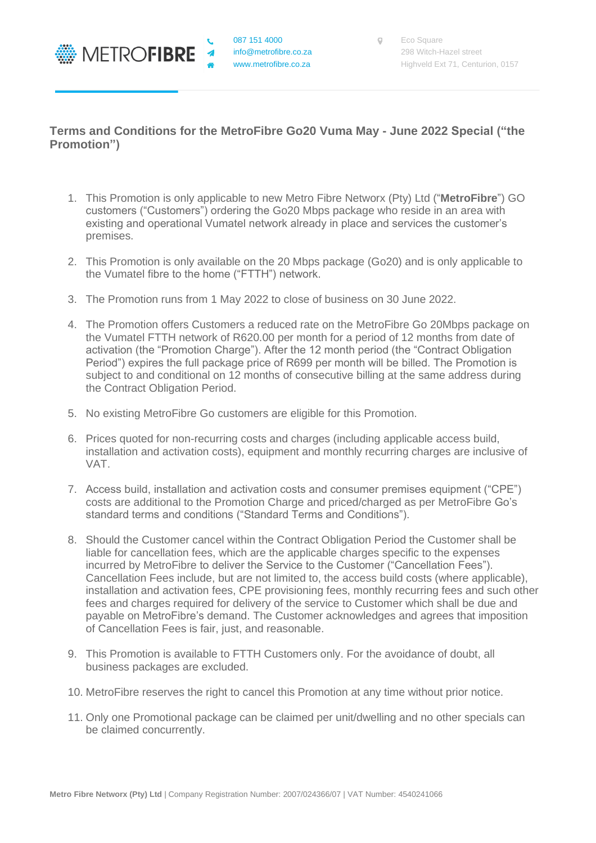

## **Terms and Conditions for the MetroFibre Go20 Vuma May - June 2022 Special ("the Promotion")**

- 1. This Promotion is only applicable to new Metro Fibre Networx (Pty) Ltd ("**MetroFibre**") GO customers ("Customers") ordering the Go20 Mbps package who reside in an area with existing and operational Vumatel network already in place and services the customer's premises.
- 2. This Promotion is only available on the 20 Mbps package (Go20) and is only applicable to the Vumatel fibre to the home ("FTTH") network.
- 3. The Promotion runs from 1 May 2022 to close of business on 30 June 2022.
- 4. The Promotion offers Customers a reduced rate on the MetroFibre Go 20Mbps package on the Vumatel FTTH network of R620.00 per month for a period of 12 months from date of activation (the "Promotion Charge"). After the 12 month period (the "Contract Obligation Period") expires the full package price of R699 per month will be billed. The Promotion is subject to and conditional on 12 months of consecutive billing at the same address during the Contract Obligation Period.
- 5. No existing MetroFibre Go customers are eligible for this Promotion.
- 6. Prices quoted for non-recurring costs and charges (including applicable access build, installation and activation costs), equipment and monthly recurring charges are inclusive of VAT.
- 7. Access build, installation and activation costs and consumer premises equipment ("CPE") costs are additional to the Promotion Charge and priced/charged as per MetroFibre Go's standard terms and conditions ("Standard Terms and Conditions").
- 8. Should the Customer cancel within the Contract Obligation Period the Customer shall be liable for cancellation fees, which are the applicable charges specific to the expenses incurred by MetroFibre to deliver the Service to the Customer ("Cancellation Fees"). Cancellation Fees include, but are not limited to, the access build costs (where applicable), installation and activation fees, CPE provisioning fees, monthly recurring fees and such other fees and charges required for delivery of the service to Customer which shall be due and payable on MetroFibre's demand. The Customer acknowledges and agrees that imposition of Cancellation Fees is fair, just, and reasonable.
- 9. This Promotion is available to FTTH Customers only. For the avoidance of doubt, all business packages are excluded.
- 10. MetroFibre reserves the right to cancel this Promotion at any time without prior notice.
- 11. Only one Promotional package can be claimed per unit/dwelling and no other specials can be claimed concurrently.